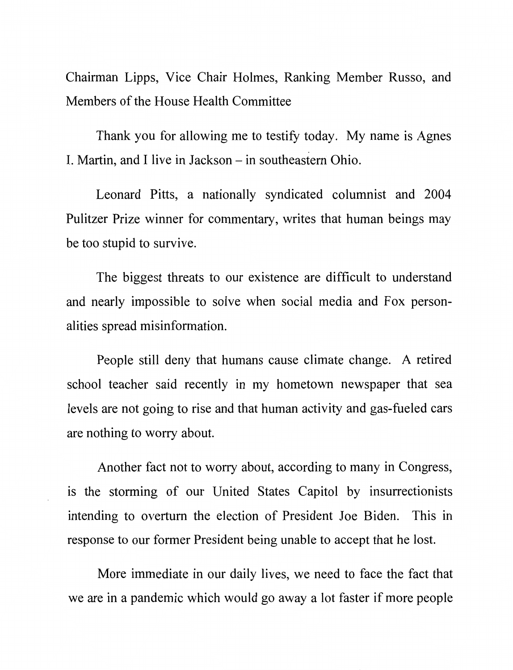Chairman Lipps, Vice Chair Holmes, Ranking Member Russo, and Members of the House Health Committee

Thank you for allowing me to testify today. My name is Agnes I. Martin, and I live in Jackson – in southeastern Ohio.

Leonard Pitts, a nationally syndicated columnist and 2004 Pulitzer Prize winner for commentary, writes that human beings may be too stupid to survive.

The biggest threats to our existence are difficult to understand and nearly impossible to solve when social media and Fox personalities spread misinformation.

People still deny that humans cause climate change. A retired school teacher said recently in my hometown newspaper that sea levels are not going to rise and that human activity and gas-fueled cars are nothing to worry about.

Another fact not to worry about, according to many in Congress, is the storming of our United States Capitol by insurrectionists intending to overturn the election of President Joe Biden. This in response to our former President being unable to accept that he lost.

More immediate in our daily lives, we need to face the fact that we are in a pandemic which would go away a lot faster if more people